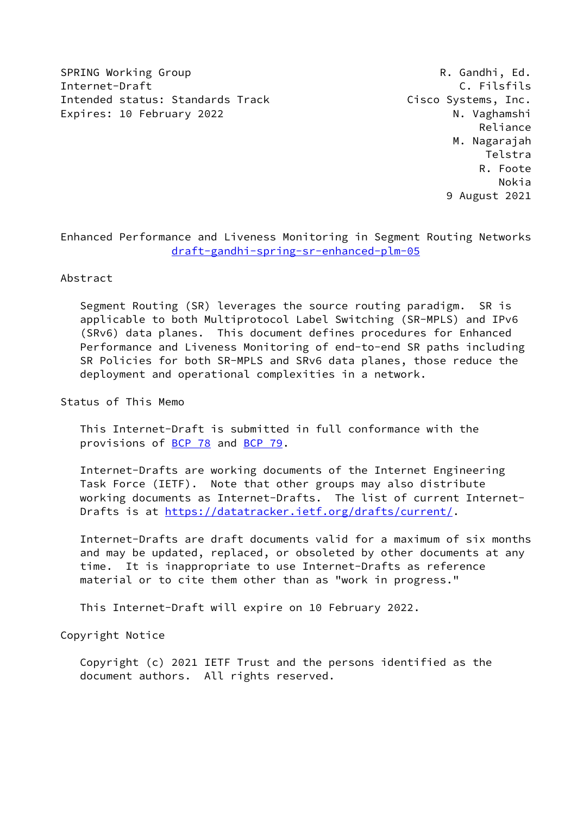SPRING Working Group **R. Gandhi, Ed.** Internet-Draft C. Filsfils Intended status: Standards Track Cisco Systems, Inc. Expires: 10 February 2022 M. Vaghamshi

 Reliance M. Nagarajah Telstra R. Foote Nokia 9 August 2021

Enhanced Performance and Liveness Monitoring in Segment Routing Networks [draft-gandhi-spring-sr-enhanced-plm-05](https://datatracker.ietf.org/doc/pdf/draft-gandhi-spring-sr-enhanced-plm-05)

Abstract

 Segment Routing (SR) leverages the source routing paradigm. SR is applicable to both Multiprotocol Label Switching (SR-MPLS) and IPv6 (SRv6) data planes. This document defines procedures for Enhanced Performance and Liveness Monitoring of end-to-end SR paths including SR Policies for both SR-MPLS and SRv6 data planes, those reduce the deployment and operational complexities in a network.

Status of This Memo

 This Internet-Draft is submitted in full conformance with the provisions of [BCP 78](https://datatracker.ietf.org/doc/pdf/bcp78) and [BCP 79](https://datatracker.ietf.org/doc/pdf/bcp79).

 Internet-Drafts are working documents of the Internet Engineering Task Force (IETF). Note that other groups may also distribute working documents as Internet-Drafts. The list of current Internet- Drafts is at<https://datatracker.ietf.org/drafts/current/>.

 Internet-Drafts are draft documents valid for a maximum of six months and may be updated, replaced, or obsoleted by other documents at any time. It is inappropriate to use Internet-Drafts as reference material or to cite them other than as "work in progress."

This Internet-Draft will expire on 10 February 2022.

Copyright Notice

 Copyright (c) 2021 IETF Trust and the persons identified as the document authors. All rights reserved.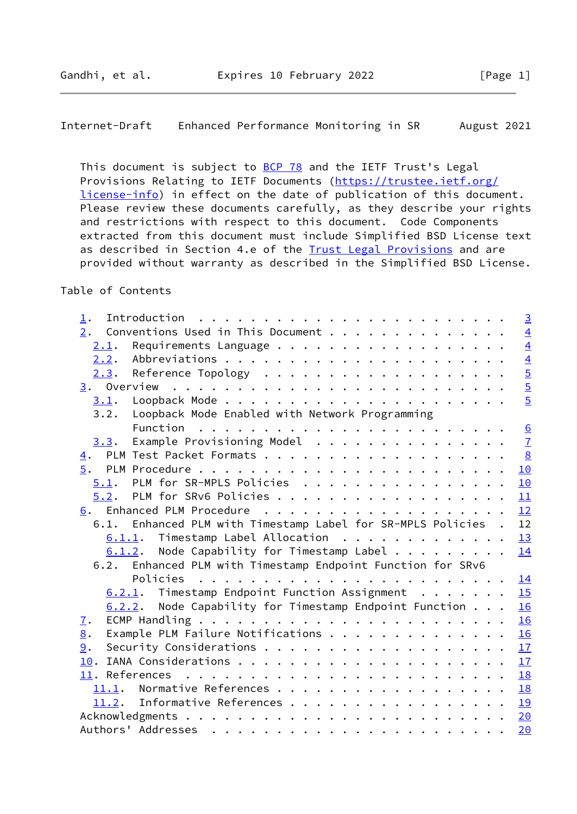Internet-Draft Enhanced Performance Monitoring in SR August 2021

This document is subject to **[BCP 78](https://datatracker.ietf.org/doc/pdf/bcp78)** and the IETF Trust's Legal Provisions Relating to IETF Documents ([https://trustee.ietf.org/](https://trustee.ietf.org/license-info) [license-info](https://trustee.ietf.org/license-info)) in effect on the date of publication of this document. Please review these documents carefully, as they describe your rights and restrictions with respect to this document. Code Components extracted from this document must include Simplified BSD License text as described in Section 4.e of the [Trust Legal Provisions](https://trustee.ietf.org/license-info) and are provided without warranty as described in the Simplified BSD License.

# Table of Contents

| 1.               | $\overline{3}$                                                     |
|------------------|--------------------------------------------------------------------|
| 2.               | Conventions Used in This Document<br>$\overline{4}$                |
| 2.1.             | $\overline{4}$                                                     |
| 2.2.             | $\overline{4}$                                                     |
| 2.3.             | $\overline{5}$                                                     |
|                  | $\overline{5}$                                                     |
| 3.1.             | $\overline{5}$                                                     |
| 3.2.             | Loopback Mode Enabled with Network Programming                     |
|                  |                                                                    |
| 3.3.             | $\overline{1}$<br>Example Provisioning Model                       |
| $\overline{4}$ . | $\frac{8}{2}$                                                      |
|                  | 10                                                                 |
|                  | $5.1$ . PLM for SR-MPLS Policies<br>10                             |
|                  | 5.2. PLM for SRv6 Policies<br>11                                   |
|                  | 12                                                                 |
|                  | 6.1. Enhanced PLM with Timestamp Label for SR-MPLS Policies.<br>12 |
|                  | $6.1.1$ . Timestamp Label Allocation<br>13                         |
|                  | $6.1.2$ . Node Capability for Timestamp Label<br>14                |
|                  | 6.2. Enhanced PLM with Timestamp Endpoint Function for SRv6        |
|                  | 14                                                                 |
|                  | 15<br>$6.2.1$ . Timestamp Endpoint Function Assignment             |
|                  | 6.2.2. Node Capability for Timestamp Endpoint Function<br>16       |
| $\mathbf{I}$ .   | 16                                                                 |
| 8.               | Example PLM Failure Notifications<br>16                            |
| 9.               | 17                                                                 |
|                  | 17                                                                 |
|                  | 18                                                                 |
|                  | 18                                                                 |
|                  | 11.2. Informative References<br>19                                 |
|                  | 20                                                                 |
|                  | 20                                                                 |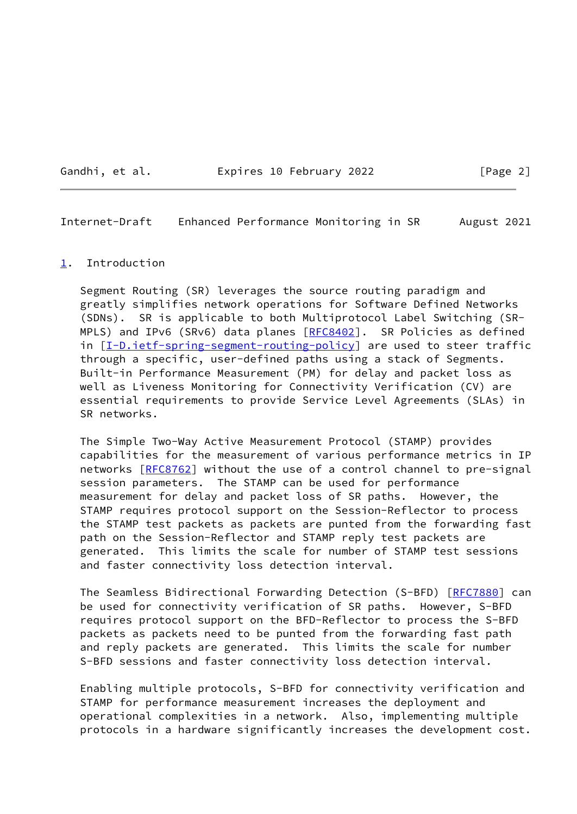#### Gandhi, et al. **Expires 10 February 2022** [Page 2]

<span id="page-2-1"></span>Internet-Draft Enhanced Performance Monitoring in SR August 2021

#### <span id="page-2-0"></span>[1](#page-2-0). Introduction

 Segment Routing (SR) leverages the source routing paradigm and greatly simplifies network operations for Software Defined Networks (SDNs). SR is applicable to both Multiprotocol Label Switching (SR- MPLS) and IPv6 (SRv6) data planes [[RFC8402](https://datatracker.ietf.org/doc/pdf/rfc8402)]. SR Policies as defined in [[I-D.ietf-spring-segment-routing-policy](#page-21-1)] are used to steer traffic through a specific, user-defined paths using a stack of Segments. Built-in Performance Measurement (PM) for delay and packet loss as well as Liveness Monitoring for Connectivity Verification (CV) are essential requirements to provide Service Level Agreements (SLAs) in SR networks.

 The Simple Two-Way Active Measurement Protocol (STAMP) provides capabilities for the measurement of various performance metrics in IP networks [\[RFC8762](https://datatracker.ietf.org/doc/pdf/rfc8762)] without the use of a control channel to pre-signal session parameters. The STAMP can be used for performance measurement for delay and packet loss of SR paths. However, the STAMP requires protocol support on the Session-Reflector to process the STAMP test packets as packets are punted from the forwarding fast path on the Session-Reflector and STAMP reply test packets are generated. This limits the scale for number of STAMP test sessions and faster connectivity loss detection interval.

The Seamless Bidirectional Forwarding Detection (S-BFD) [\[RFC7880](https://datatracker.ietf.org/doc/pdf/rfc7880)] can be used for connectivity verification of SR paths. However, S-BFD requires protocol support on the BFD-Reflector to process the S-BFD packets as packets need to be punted from the forwarding fast path and reply packets are generated. This limits the scale for number S-BFD sessions and faster connectivity loss detection interval.

 Enabling multiple protocols, S-BFD for connectivity verification and STAMP for performance measurement increases the deployment and operational complexities in a network. Also, implementing multiple protocols in a hardware significantly increases the development cost.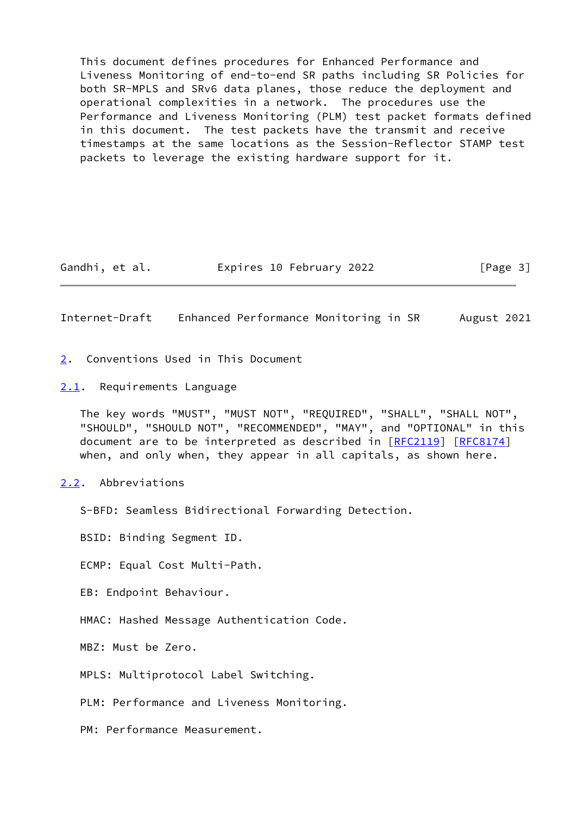This document defines procedures for Enhanced Performance and Liveness Monitoring of end-to-end SR paths including SR Policies for both SR-MPLS and SRv6 data planes, those reduce the deployment and operational complexities in a network. The procedures use the Performance and Liveness Monitoring (PLM) test packet formats defined in this document. The test packets have the transmit and receive timestamps at the same locations as the Session-Reflector STAMP test packets to leverage the existing hardware support for it.

Gandhi, et al. **Expires 10 February 2022** [Page 3]

<span id="page-3-1"></span>Internet-Draft Enhanced Performance Monitoring in SR August 2021

- <span id="page-3-0"></span>[2](#page-3-0). Conventions Used in This Document
- <span id="page-3-2"></span>[2.1](#page-3-2). Requirements Language

 The key words "MUST", "MUST NOT", "REQUIRED", "SHALL", "SHALL NOT", "SHOULD", "SHOULD NOT", "RECOMMENDED", "MAY", and "OPTIONAL" in this document are to be interpreted as described in [\[RFC2119](https://datatracker.ietf.org/doc/pdf/rfc2119)] [\[RFC8174](https://datatracker.ietf.org/doc/pdf/rfc8174)] when, and only when, they appear in all capitals, as shown here.

<span id="page-3-3"></span>[2.2](#page-3-3). Abbreviations

S-BFD: Seamless Bidirectional Forwarding Detection.

BSID: Binding Segment ID.

ECMP: Equal Cost Multi-Path.

EB: Endpoint Behaviour.

HMAC: Hashed Message Authentication Code.

MBZ: Must be Zero.

MPLS: Multiprotocol Label Switching.

PLM: Performance and Liveness Monitoring.

PM: Performance Measurement.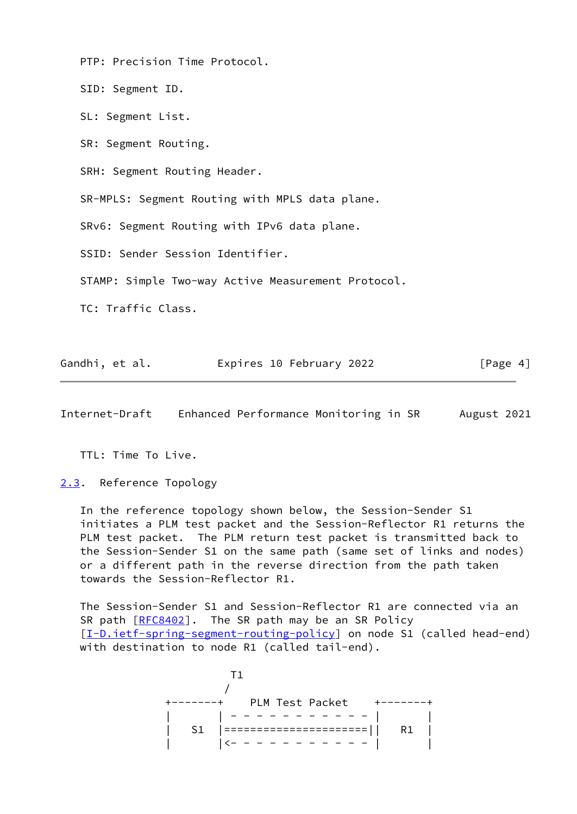PTP: Precision Time Protocol.

SID: Segment ID.

SL: Segment List.

SR: Segment Routing.

SRH: Segment Routing Header.

SR-MPLS: Segment Routing with MPLS data plane.

SRv6: Segment Routing with IPv6 data plane.

SSID: Sender Session Identifier.

STAMP: Simple Two-way Active Measurement Protocol.

TC: Traffic Class.

| Gandhi, et al. |  | Expires 10 February 2022 | [Page 4] |
|----------------|--|--------------------------|----------|
|                |  |                          |          |

<span id="page-4-1"></span>Internet-Draft Enhanced Performance Monitoring in SR August 2021

TTL: Time To Live.

<span id="page-4-0"></span>[2.3](#page-4-0). Reference Topology

 In the reference topology shown below, the Session-Sender S1 initiates a PLM test packet and the Session-Reflector R1 returns the PLM test packet. The PLM return test packet is transmitted back to the Session-Sender S1 on the same path (same set of links and nodes) or a different path in the reverse direction from the path taken towards the Session-Reflector R1.

 The Session-Sender S1 and Session-Reflector R1 are connected via an SR path [\[RFC8402](https://datatracker.ietf.org/doc/pdf/rfc8402)]. The SR path may be an SR Policy [\[I-D.ietf-spring-segment-routing-policy](#page-21-1)] on node S1 (called head-end) with destination to node R1 (called tail-end).

T<sub>1</sub> T<sub>1</sub> / +-------+ PLM Test Packet +-------+ | | - - - - - - - - - - - | | | S1 |======================|| R1 | | |<- - - - - - - - - - - | |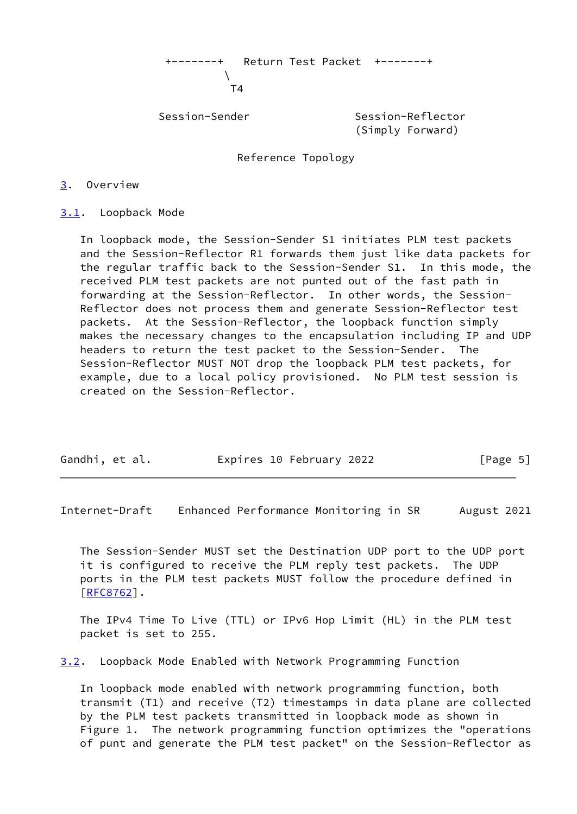+-------+ Return Test Packet +-------+  $\mathcal{N}$ T<sub>4</sub>

Session-Sender Session-Reflector (Simply Forward)

Reference Topology

<span id="page-5-0"></span>[3](#page-5-0). Overview

<span id="page-5-1"></span>[3.1](#page-5-1). Loopback Mode

 In loopback mode, the Session-Sender S1 initiates PLM test packets and the Session-Reflector R1 forwards them just like data packets for the regular traffic back to the Session-Sender S1. In this mode, the received PLM test packets are not punted out of the fast path in forwarding at the Session-Reflector. In other words, the Session- Reflector does not process them and generate Session-Reflector test packets. At the Session-Reflector, the loopback function simply makes the necessary changes to the encapsulation including IP and UDP headers to return the test packet to the Session-Sender. The Session-Reflector MUST NOT drop the loopback PLM test packets, for example, due to a local policy provisioned. No PLM test session is created on the Session-Reflector.

| Gandhi, et al. | Expires 10 February 2022 | [Page 5] |
|----------------|--------------------------|----------|

<span id="page-5-2"></span>Internet-Draft Enhanced Performance Monitoring in SR August 2021

 The Session-Sender MUST set the Destination UDP port to the UDP port it is configured to receive the PLM reply test packets. The UDP ports in the PLM test packets MUST follow the procedure defined in [\[RFC8762](https://datatracker.ietf.org/doc/pdf/rfc8762)].

 The IPv4 Time To Live (TTL) or IPv6 Hop Limit (HL) in the PLM test packet is set to 255.

<span id="page-5-3"></span>[3.2](#page-5-3). Loopback Mode Enabled with Network Programming Function

 In loopback mode enabled with network programming function, both transmit (T1) and receive (T2) timestamps in data plane are collected by the PLM test packets transmitted in loopback mode as shown in Figure 1. The network programming function optimizes the "operations of punt and generate the PLM test packet" on the Session-Reflector as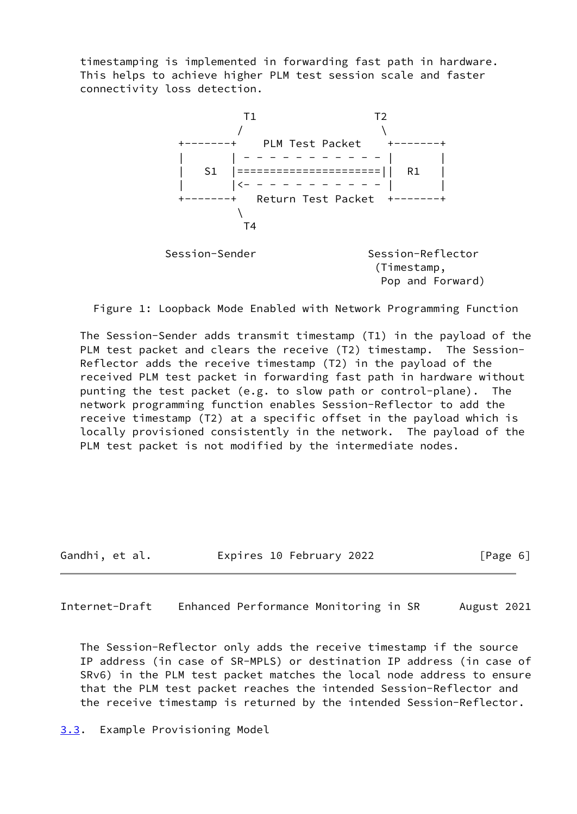timestamping is implemented in forwarding fast path in hardware. This helps to achieve higher PLM test session scale and faster connectivity loss detection.



Pop and Forward)

Figure 1: Loopback Mode Enabled with Network Programming Function

 The Session-Sender adds transmit timestamp (T1) in the payload of the PLM test packet and clears the receive (T2) timestamp. The Session- Reflector adds the receive timestamp (T2) in the payload of the received PLM test packet in forwarding fast path in hardware without punting the test packet (e.g. to slow path or control-plane). The network programming function enables Session-Reflector to add the receive timestamp (T2) at a specific offset in the payload which is locally provisioned consistently in the network. The payload of the PLM test packet is not modified by the intermediate nodes.

Gandhi, et al. Expires 10 February 2022 [Page 6]

<span id="page-6-1"></span>Internet-Draft Enhanced Performance Monitoring in SR August 2021

 The Session-Reflector only adds the receive timestamp if the source IP address (in case of SR-MPLS) or destination IP address (in case of SRv6) in the PLM test packet matches the local node address to ensure that the PLM test packet reaches the intended Session-Reflector and the receive timestamp is returned by the intended Session-Reflector.

<span id="page-6-0"></span>[3.3](#page-6-0). Example Provisioning Model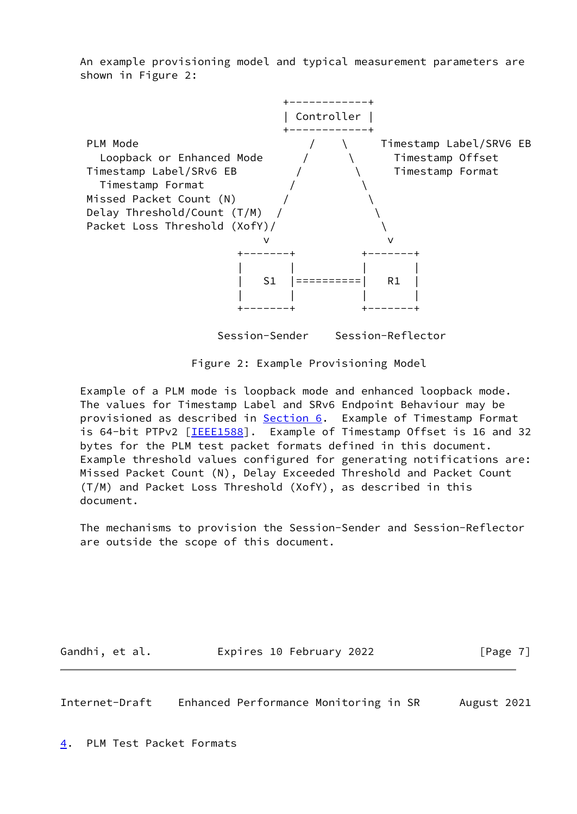An example provisioning model and typical measurement parameters are shown in Figure 2:



Session-Sender Session-Reflector

Figure 2: Example Provisioning Model

 Example of a PLM mode is loopback mode and enhanced loopback mode. The values for Timestamp Label and SRv6 Endpoint Behaviour may be provisioned as described in **[Section 6.](#page-13-0)** Example of Timestamp Format is 64-bit PTPv2 [\[IEEE1588](#page-20-2)]. Example of Timestamp Offset is 16 and 32 bytes for the PLM test packet formats defined in this document. Example threshold values configured for generating notifications are: Missed Packet Count (N), Delay Exceeded Threshold and Packet Count (T/M) and Packet Loss Threshold (XofY), as described in this document.

 The mechanisms to provision the Session-Sender and Session-Reflector are outside the scope of this document.

Gandhi, et al. **Expires 10 February 2022** [Page 7]

<span id="page-7-1"></span><span id="page-7-0"></span>Internet-Draft Enhanced Performance Monitoring in SR August 2021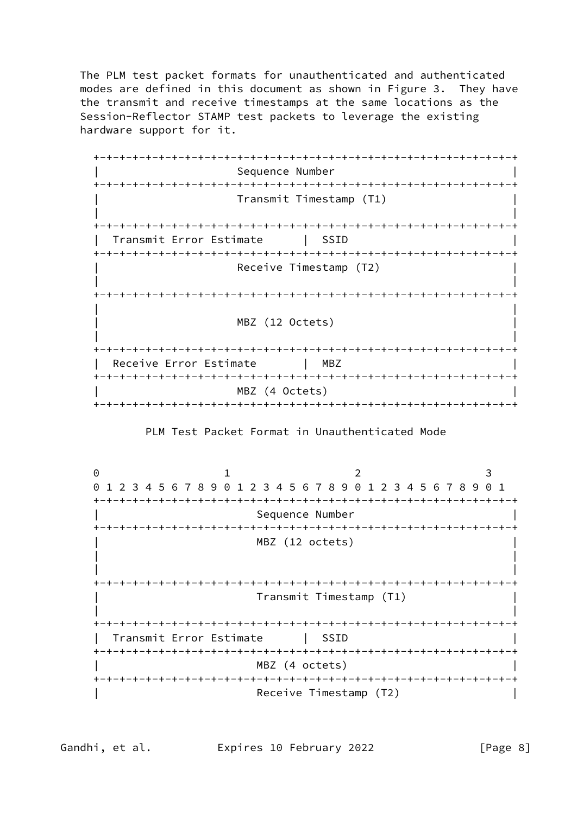The PLM test packet formats for unauthenticated and authenticated modes are defined in this document as shown in Figure 3. They have the transmit and receive timestamps at the same locations as the Session-Reflector STAMP test packets to leverage the existing hardware support for it.

 +-+-+-+-+-+-+-+-+-+-+-+-+-+-+-+-+-+-+-+-+-+-+-+-+-+-+-+-+-+-+-+-+ Sequence Number +-+-+-+-+-+-+-+-+-+-+-+-+-+-+-+-+-+-+-+-+-+-+-+-+-+-+-+-+-+-+-+-+ | Transmit Timestamp (T1) | | | +-+-+-+-+-+-+-+-+-+-+-+-+-+-+-+-+-+-+-+-+-+-+-+-+-+-+-+-+-+-+-+-+ | Transmit Error Estimate | SSID | +-+-+-+-+-+-+-+-+-+-+-+-+-+-+-+-+-+-+-+-+-+-+-+-+-+-+-+-+-+-+-+-+ Receive Timestamp (T2) | | +-+-+-+-+-+-+-+-+-+-+-+-+-+-+-+-+-+-+-+-+-+-+-+-+-+-+-+-+-+-+-+-+ | | | MBZ (12 Octets) | | | +-+-+-+-+-+-+-+-+-+-+-+-+-+-+-+-+-+-+-+-+-+-+-+-+-+-+-+-+-+-+-+-+ Receive Error Estimate | MBZ +-+-+-+-+-+-+-+-+-+-+-+-+-+-+-+-+-+-+-+-+-+-+-+-+-+-+-+-+-+-+-+-+ MBZ (4 Octets) +-+-+-+-+-+-+-+-+-+-+-+-+-+-+-+-+-+-+-+-+-+-+-+-+-+-+-+-+-+-+-+-+

PLM Test Packet Format in Unauthenticated Mode

0 1 2 3 0 1 2 3 4 5 6 7 8 9 0 1 2 3 4 5 6 7 8 9 0 1 2 3 4 5 6 7 8 9 0 1 +-+-+-+-+-+-+-+-+-+-+-+-+-+-+-+-+-+-+-+-+-+-+-+-+-+-+-+-+-+-+-+-+ Sequence Number +-+-+-+-+-+-+-+-+-+-+-+-+-+-+-+-+-+-+-+-+-+-+-+-+-+-+-+-+-+-+-+-+ MBZ (12 octets) | | | | +-+-+-+-+-+-+-+-+-+-+-+-+-+-+-+-+-+-+-+-+-+-+-+-+-+-+-+-+-+-+-+-+ | Transmit Timestamp (T1) | | | +-+-+-+-+-+-+-+-+-+-+-+-+-+-+-+-+-+-+-+-+-+-+-+-+-+-+-+-+-+-+-+-+ | Transmit Error Estimate | SSID | +-+-+-+-+-+-+-+-+-+-+-+-+-+-+-+-+-+-+-+-+-+-+-+-+-+-+-+-+-+-+-+-+ MBZ (4 octets) +-+-+-+-+-+-+-+-+-+-+-+-+-+-+-+-+-+-+-+-+-+-+-+-+-+-+-+-+-+-+-+-+ Receive Timestamp (T2)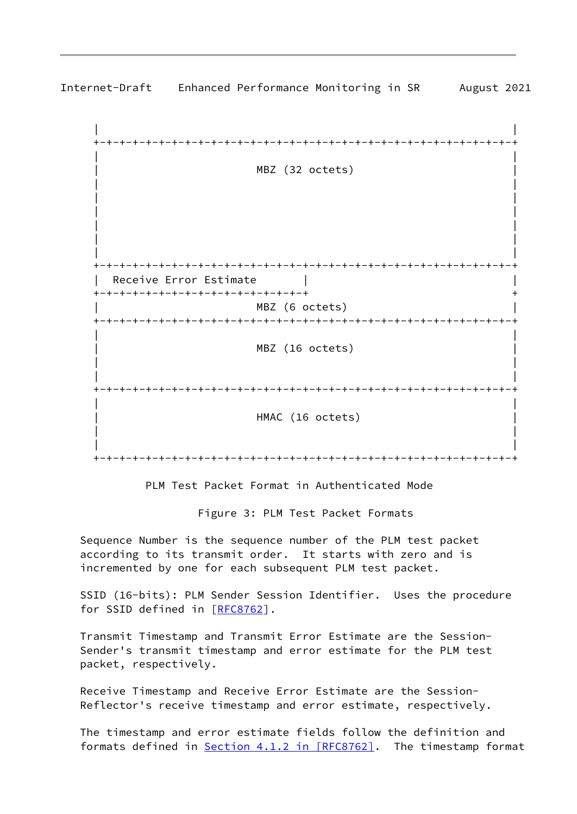

Internet-Draft Enhanced Performance Monitoring in SR August 2021

PLM Test Packet Format in Authenticated Mode

Figure 3: PLM Test Packet Formats

 Sequence Number is the sequence number of the PLM test packet according to its transmit order. It starts with zero and is incremented by one for each subsequent PLM test packet.

 SSID (16-bits): PLM Sender Session Identifier. Uses the procedure for SSID defined in [\[RFC8762](https://datatracker.ietf.org/doc/pdf/rfc8762)].

 Transmit Timestamp and Transmit Error Estimate are the Session- Sender's transmit timestamp and error estimate for the PLM test packet, respectively.

 Receive Timestamp and Receive Error Estimate are the Session- Reflector's receive timestamp and error estimate, respectively.

 The timestamp and error estimate fields follow the definition and formats defined in Section [4.1.2 in \[RFC8762\].](https://datatracker.ietf.org/doc/pdf/rfc8762#section-4.1.2) The timestamp format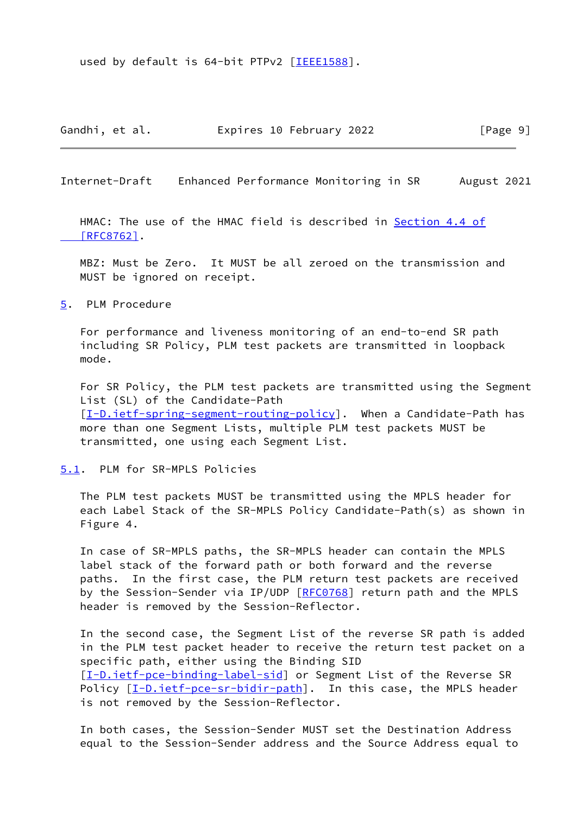used by default is 64-bit PTPv2 [\[IEEE1588](#page-20-2)].

Gandhi, et al. **Expires 10 February 2022** [Page 9]

<span id="page-10-1"></span>Internet-Draft Enhanced Performance Monitoring in SR August 2021

 HMAC: The use of the HMAC field is described in [Section](https://datatracker.ietf.org/doc/pdf/rfc8762#section-4.4) 4.4 of  [\[RFC8762\]](https://datatracker.ietf.org/doc/pdf/rfc8762#section-4.4).

 MBZ: Must be Zero. It MUST be all zeroed on the transmission and MUST be ignored on receipt.

<span id="page-10-0"></span>[5](#page-10-0). PLM Procedure

 For performance and liveness monitoring of an end-to-end SR path including SR Policy, PLM test packets are transmitted in loopback mode.

 For SR Policy, the PLM test packets are transmitted using the Segment List (SL) of the Candidate-Path [\[I-D.ietf-spring-segment-routing-policy](#page-21-1)]. When a Candidate-Path has more than one Segment Lists, multiple PLM test packets MUST be transmitted, one using each Segment List.

<span id="page-10-2"></span>[5.1](#page-10-2). PLM for SR-MPLS Policies

 The PLM test packets MUST be transmitted using the MPLS header for each Label Stack of the SR-MPLS Policy Candidate-Path(s) as shown in Figure 4.

 In case of SR-MPLS paths, the SR-MPLS header can contain the MPLS label stack of the forward path or both forward and the reverse paths. In the first case, the PLM return test packets are received by the Session-Sender via IP/UDP [\[RFC0768](https://datatracker.ietf.org/doc/pdf/rfc0768)] return path and the MPLS header is removed by the Session-Reflector.

 In the second case, the Segment List of the reverse SR path is added in the PLM test packet header to receive the return test packet on a specific path, either using the Binding SID [\[I-D.ietf-pce-binding-label-sid](#page-21-2)] or Segment List of the Reverse SR Policy  $[I-D.ietf-pce-sr-bidir-path]$  $[I-D.ietf-pce-sr-bidir-path]$ . In this case, the MPLS header is not removed by the Session-Reflector.

 In both cases, the Session-Sender MUST set the Destination Address equal to the Session-Sender address and the Source Address equal to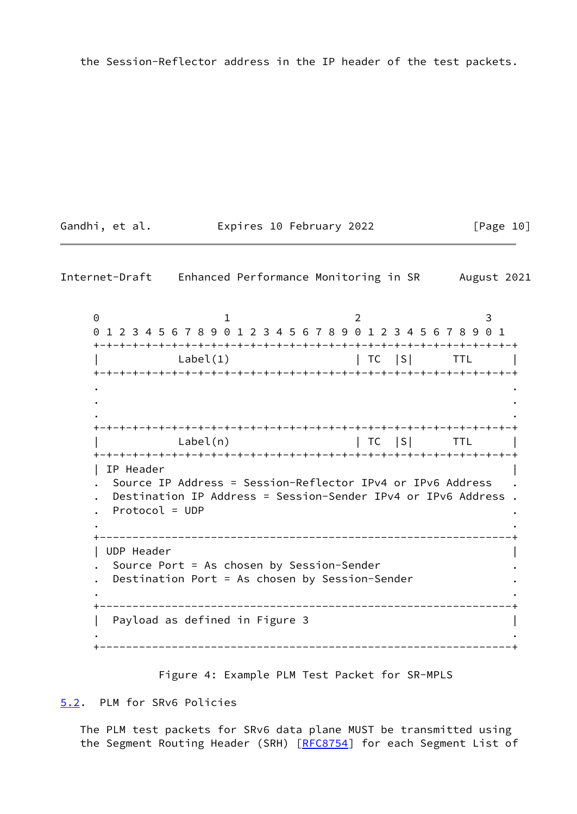the Session-Reflector address in the IP header of the test packets.

Gandhi, et al. **Expires 10 February 2022** [Page 10]

<span id="page-11-1"></span>Internet-Draft Enhanced Performance Monitoring in SR August 2021

0 1 2 3 0 1 2 3 4 5 6 7 8 9 0 1 2 3 4 5 6 7 8 9 0 1 2 3 4 5 6 7 8 9 0 1 +-+-+-+-+-+-+-+-+-+-+-+-+-+-+-+-+-+-+-+-+-+-+-+-+-+-+-+-+-+-+-+-+  $\textsf{Label}(1)$  | TC  $|S|$  TTL | +-+-+-+-+-+-+-+-+-+-+-+-+-+-+-+-+-+-+-+-+-+-+-+-+-+-+-+-+-+-+-+-+ . . . . . . +-+-+-+-+-+-+-+-+-+-+-+-+-+-+-+-+-+-+-+-+-+-+-+-+-+-+-+-+-+-+-+-+  $Label(n)$  | TC  $|S|$  TTL | +-+-+-+-+-+-+-+-+-+-+-+-+-+-+-+-+-+-+-+-+-+-+-+-+-+-+-+-+-+-+-+-+ | IP Header | . Source IP Address = Session-Reflector IPv4 or IPv6 Address . . Destination IP Address = Session-Sender IPv4 or IPv6 Address . . Protocol = UDP . . . +---------------------------------------------------------------+ | UDP Header | . Source Port = As chosen by Session-Sender . . Destination Port = As chosen by Session-Sender . . . +---------------------------------------------------------------+ | Payload as defined in Figure 3 | . . +---------------------------------------------------------------+

Figure 4: Example PLM Test Packet for SR-MPLS

<span id="page-11-0"></span>[5.2](#page-11-0). PLM for SRv6 Policies

 The PLM test packets for SRv6 data plane MUST be transmitted using the Segment Routing Header (SRH) [\[RFC8754](https://datatracker.ietf.org/doc/pdf/rfc8754)] for each Segment List of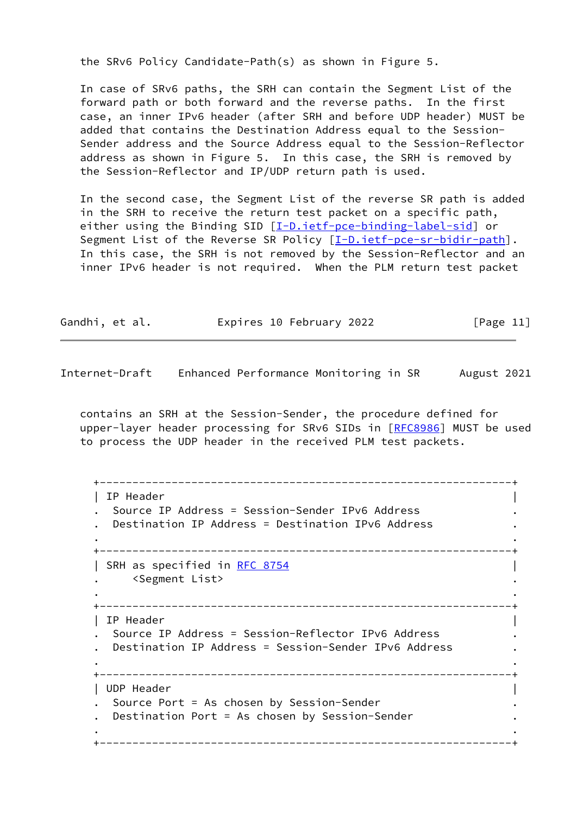the SRv6 Policy Candidate-Path(s) as shown in Figure 5.

 In case of SRv6 paths, the SRH can contain the Segment List of the forward path or both forward and the reverse paths. In the first case, an inner IPv6 header (after SRH and before UDP header) MUST be added that contains the Destination Address equal to the Session- Sender address and the Source Address equal to the Session-Reflector address as shown in Figure 5. In this case, the SRH is removed by the Session-Reflector and IP/UDP return path is used.

 In the second case, the Segment List of the reverse SR path is added in the SRH to receive the return test packet on a specific path, either using the Binding SID [\[I-D.ietf-pce-binding-label-sid](#page-21-2)] or Segment List of the Reverse SR Policy [[I-D.ietf-pce-sr-bidir-path\]](#page-22-0). In this case, the SRH is not removed by the Session-Reflector and an inner IPv6 header is not required. When the PLM return test packet

| Gandhi, et al. | Expires 10 February 2022 | [Page 11] |
|----------------|--------------------------|-----------|
|----------------|--------------------------|-----------|

<span id="page-12-0"></span>Internet-Draft Enhanced Performance Monitoring in SR August 2021

 contains an SRH at the Session-Sender, the procedure defined for upper-layer header processing for SRv6 SIDs in [\[RFC8986](https://datatracker.ietf.org/doc/pdf/rfc8986)] MUST be used to process the UDP header in the received PLM test packets.

```
 +---------------------------------------------------------------+
   | IP Header |
   . Source IP Address = Session-Sender IPv6 Address .
   . Destination IP Address = Destination IPv6 Address .
. .
   +---------------------------------------------------------------+
   | SRH as specified in RFC 8754 |
    . <Segment List> .
. .
   +---------------------------------------------------------------+
   | IP Header |
   . Source IP Address = Session-Reflector IPv6 Address .
   . Destination IP Address = Session-Sender IPv6 Address .
. .
   +---------------------------------------------------------------+
   | UDP Header |
   . Source Port = As chosen by Session-Sender .
   . Destination Port = As chosen by Session-Sender .
. .
   +---------------------------------------------------------------+
```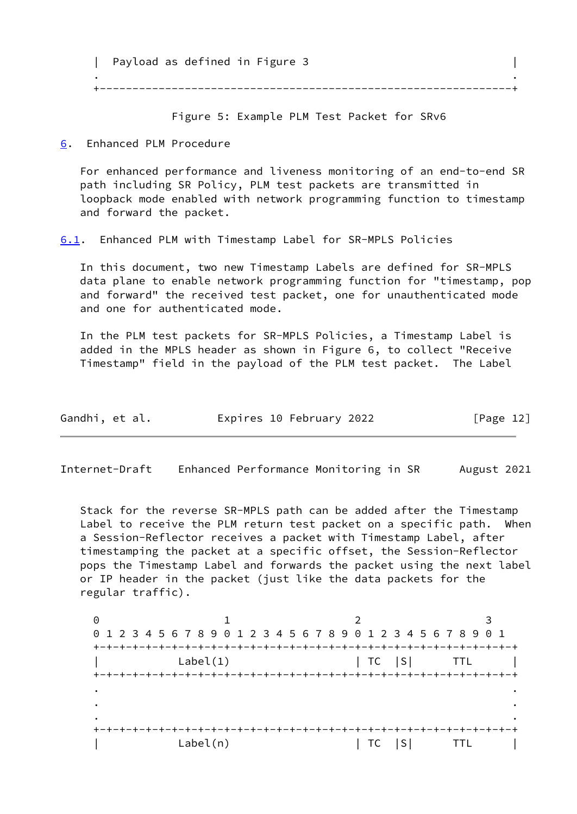| Payload as defined in Figure 3 . . +---------------------------------------------------------------+

Figure 5: Example PLM Test Packet for SRv6

<span id="page-13-0"></span>[6](#page-13-0). Enhanced PLM Procedure

 For enhanced performance and liveness monitoring of an end-to-end SR path including SR Policy, PLM test packets are transmitted in loopback mode enabled with network programming function to timestamp and forward the packet.

<span id="page-13-2"></span>[6.1](#page-13-2). Enhanced PLM with Timestamp Label for SR-MPLS Policies

 In this document, two new Timestamp Labels are defined for SR-MPLS data plane to enable network programming function for "timestamp, pop and forward" the received test packet, one for unauthenticated mode and one for authenticated mode.

 In the PLM test packets for SR-MPLS Policies, a Timestamp Label is added in the MPLS header as shown in Figure 6, to collect "Receive Timestamp" field in the payload of the PLM test packet. The Label

| Gandhi, et al. |  | Expires 10 February 2022 | [Page 12] |
|----------------|--|--------------------------|-----------|
|----------------|--|--------------------------|-----------|

<span id="page-13-1"></span>Internet-Draft Enhanced Performance Monitoring in SR August 2021

 Stack for the reverse SR-MPLS path can be added after the Timestamp Label to receive the PLM return test packet on a specific path. When a Session-Reflector receives a packet with Timestamp Label, after timestamping the packet at a specific offset, the Session-Reflector pops the Timestamp Label and forwards the packet using the next label or IP header in the packet (just like the data packets for the regular traffic).

0 1 2 3 0 1 2 3 4 5 6 7 8 9 0 1 2 3 4 5 6 7 8 9 0 1 2 3 4 5 6 7 8 9 0 1 +-+-+-+-+-+-+-+-+-+-+-+-+-+-+-+-+-+-+-+-+-+-+-+-+-+-+-+-+-+-+-+-+  $\text{Label}(1)$  | TC  $|S|$  TTL +-+-+-+-+-+-+-+-+-+-+-+-+-+-+-+-+-+-+-+-+-+-+-+-+-+-+-+-+-+-+-+-+ . . . . . . +-+-+-+-+-+-+-+-+-+-+-+-+-+-+-+-+-+-+-+-+-+-+-+-+-+-+-+-+-+-+-+-+ | Label(n) | TC |S| TTL |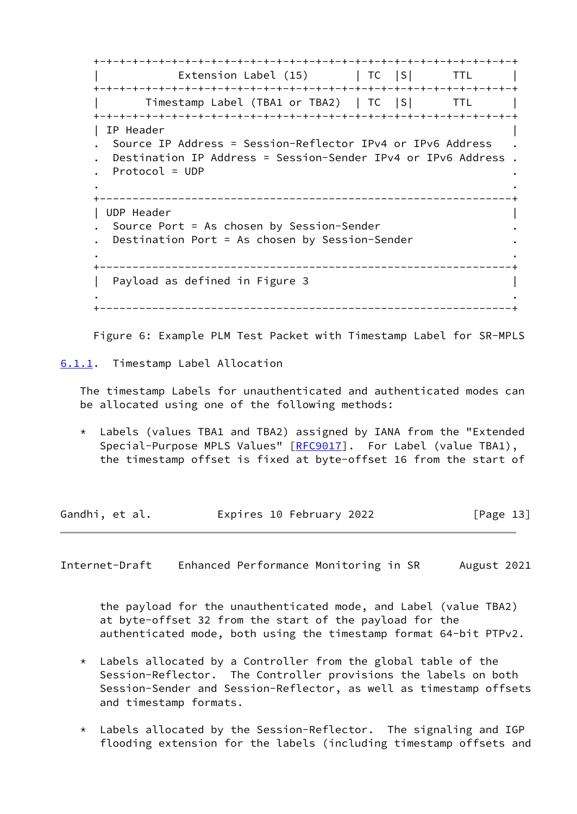+-+-+-+-+-+-+-+-+-+-+-+-+-+-+-+-+-+-+-+-+-+-+-+-+-+-+-+-+-+-+-+-+ Extension Label  $(15)$  | TC  $|S|$  TTL | +-+-+-+-+-+-+-+-+-+-+-+-+-+-+-+-+-+-+-+-+-+-+-+-+-+-+-+-+-+-+-+-+ Timestamp Label (TBA1 or TBA2) | TC |S| TTL +-+-+-+-+-+-+-+-+-+-+-+-+-+-+-+-+-+-+-+-+-+-+-+-+-+-+-+-+-+-+-+-+ | IP Header | . Source IP Address = Session-Reflector IPv4 or IPv6 Address . . Destination IP Address = Session-Sender IPv4 or IPv6 Address . . Protocol = UDP . . . +---------------------------------------------------------------+ | UDP Header | . Source Port = As chosen by Session-Sender . Destination Port = As chosen by Session-Sender . . +---------------------------------------------------------------+ | Payload as defined in Figure 3 | . . +---------------------------------------------------------------+

Figure 6: Example PLM Test Packet with Timestamp Label for SR-MPLS

<span id="page-14-0"></span>[6.1.1](#page-14-0). Timestamp Label Allocation

 The timestamp Labels for unauthenticated and authenticated modes can be allocated using one of the following methods:

 \* Labels (values TBA1 and TBA2) assigned by IANA from the "Extended Special-Purpose MPLS Values" [\[RFC9017](https://datatracker.ietf.org/doc/pdf/rfc9017)]. For Label (value TBA1), the timestamp offset is fixed at byte-offset 16 from the start of

Gandhi, et al. **Expires 10 February 2022** [Page 13]

<span id="page-14-1"></span>Internet-Draft Enhanced Performance Monitoring in SR August 2021

 the payload for the unauthenticated mode, and Label (value TBA2) at byte-offset 32 from the start of the payload for the authenticated mode, both using the timestamp format 64-bit PTPv2.

- \* Labels allocated by a Controller from the global table of the Session-Reflector. The Controller provisions the labels on both Session-Sender and Session-Reflector, as well as timestamp offsets and timestamp formats.
- \* Labels allocated by the Session-Reflector. The signaling and IGP flooding extension for the labels (including timestamp offsets and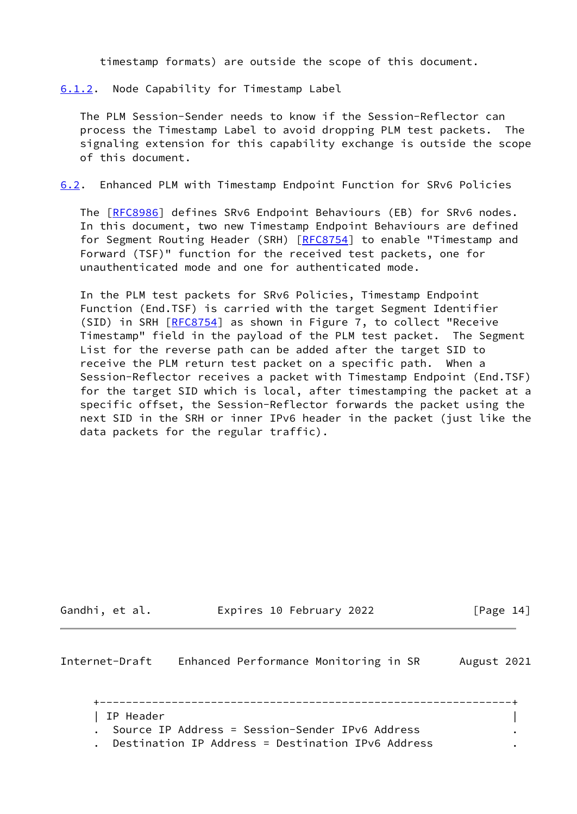timestamp formats) are outside the scope of this document.

<span id="page-15-0"></span>[6.1.2](#page-15-0). Node Capability for Timestamp Label

 The PLM Session-Sender needs to know if the Session-Reflector can process the Timestamp Label to avoid dropping PLM test packets. The signaling extension for this capability exchange is outside the scope of this document.

<span id="page-15-2"></span>[6.2](#page-15-2). Enhanced PLM with Timestamp Endpoint Function for SRv6 Policies

The [\[RFC8986](https://datatracker.ietf.org/doc/pdf/rfc8986)] defines SRv6 Endpoint Behaviours (EB) for SRv6 nodes. In this document, two new Timestamp Endpoint Behaviours are defined for Segment Routing Header (SRH) [\[RFC8754](https://datatracker.ietf.org/doc/pdf/rfc8754)] to enable "Timestamp and Forward (TSF)" function for the received test packets, one for unauthenticated mode and one for authenticated mode.

 In the PLM test packets for SRv6 Policies, Timestamp Endpoint Function (End.TSF) is carried with the target Segment Identifier (SID) in SRH [\[RFC8754](https://datatracker.ietf.org/doc/pdf/rfc8754)] as shown in Figure 7, to collect "Receive Timestamp" field in the payload of the PLM test packet. The Segment List for the reverse path can be added after the target SID to receive the PLM return test packet on a specific path. When a Session-Reflector receives a packet with Timestamp Endpoint (End.TSF) for the target SID which is local, after timestamping the packet at a specific offset, the Session-Reflector forwards the packet using the next SID in the SRH or inner IPv6 header in the packet (just like the data packets for the regular traffic).

Gandhi, et al. **Expires 10 February 2022** [Page 14]

<span id="page-15-1"></span>Internet-Draft Enhanced Performance Monitoring in SR August 2021

 +---------------------------------------------------------------+ | IP Header | . Source IP Address = Session-Sender IPv6 Address . . Destination IP Address = Destination IPv6 Address .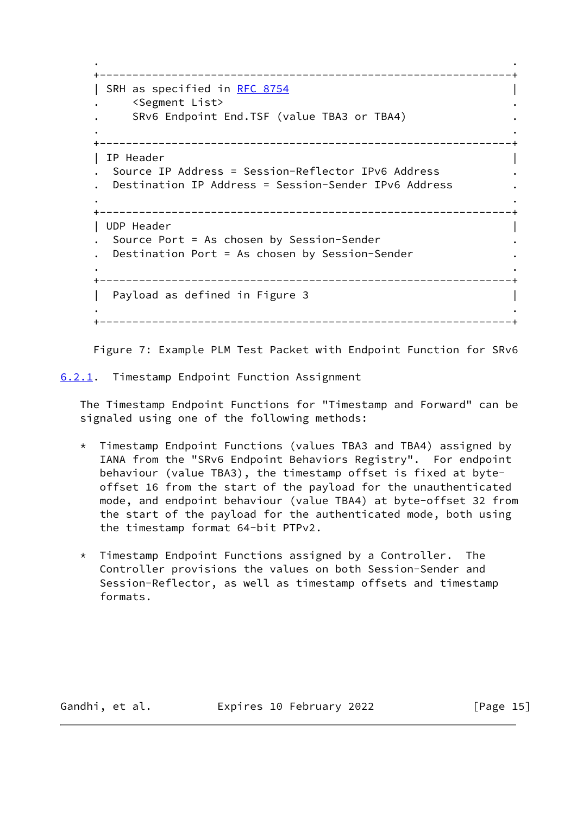```
 . .
   +---------------------------------------------------------------+
   RFC 8754
       . <Segment List> .
      SRv6 Endpoint End.TSF (value TBA3 or TBA4)
. .
   +---------------------------------------------------------------+
   | IP Header |
   . Source IP Address = Session-Reflector IPv6 Address .
     . Destination IP Address = Session-Sender IPv6 Address .
. .
   +---------------------------------------------------------------+
   | UDP Header |
     . Source Port = As chosen by Session-Sender .
    Destination Port = As chosen by Session-Sender
. .
   +---------------------------------------------------------------+
  | Payload as defined in Figure 3
. .
   +---------------------------------------------------------------+
```
Figure 7: Example PLM Test Packet with Endpoint Function for SRv6

<span id="page-16-0"></span>[6.2.1](#page-16-0). Timestamp Endpoint Function Assignment

 The Timestamp Endpoint Functions for "Timestamp and Forward" can be signaled using one of the following methods:

- \* Timestamp Endpoint Functions (values TBA3 and TBA4) assigned by IANA from the "SRv6 Endpoint Behaviors Registry". For endpoint behaviour (value TBA3), the timestamp offset is fixed at byte offset 16 from the start of the payload for the unauthenticated mode, and endpoint behaviour (value TBA4) at byte-offset 32 from the start of the payload for the authenticated mode, both using the timestamp format 64-bit PTPv2.
- \* Timestamp Endpoint Functions assigned by a Controller. The Controller provisions the values on both Session-Sender and Session-Reflector, as well as timestamp offsets and timestamp formats.

Gandhi, et al. Expires 10 February 2022 [Page 15]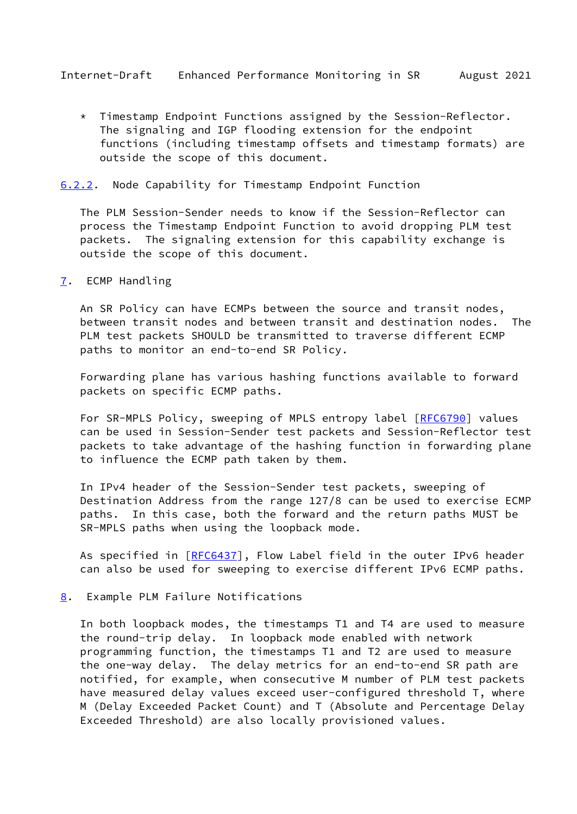<span id="page-17-1"></span> \* Timestamp Endpoint Functions assigned by the Session-Reflector. The signaling and IGP flooding extension for the endpoint functions (including timestamp offsets and timestamp formats) are outside the scope of this document.

### <span id="page-17-0"></span>[6.2.2](#page-17-0). Node Capability for Timestamp Endpoint Function

 The PLM Session-Sender needs to know if the Session-Reflector can process the Timestamp Endpoint Function to avoid dropping PLM test packets. The signaling extension for this capability exchange is outside the scope of this document.

#### <span id="page-17-2"></span>[7](#page-17-2). ECMP Handling

 An SR Policy can have ECMPs between the source and transit nodes, between transit nodes and between transit and destination nodes. The PLM test packets SHOULD be transmitted to traverse different ECMP paths to monitor an end-to-end SR Policy.

 Forwarding plane has various hashing functions available to forward packets on specific ECMP paths.

For SR-MPLS Policy, sweeping of MPLS entropy label [[RFC6790\]](https://datatracker.ietf.org/doc/pdf/rfc6790) values can be used in Session-Sender test packets and Session-Reflector test packets to take advantage of the hashing function in forwarding plane to influence the ECMP path taken by them.

 In IPv4 header of the Session-Sender test packets, sweeping of Destination Address from the range 127/8 can be used to exercise ECMP paths. In this case, both the forward and the return paths MUST be SR-MPLS paths when using the loopback mode.

As specified in [\[RFC6437](https://datatracker.ietf.org/doc/pdf/rfc6437)], Flow Label field in the outer IPv6 header can also be used for sweeping to exercise different IPv6 ECMP paths.

## <span id="page-17-3"></span>[8](#page-17-3). Example PLM Failure Notifications

 In both loopback modes, the timestamps T1 and T4 are used to measure the round-trip delay. In loopback mode enabled with network programming function, the timestamps T1 and T2 are used to measure the one-way delay. The delay metrics for an end-to-end SR path are notified, for example, when consecutive M number of PLM test packets have measured delay values exceed user-configured threshold T, where M (Delay Exceeded Packet Count) and T (Absolute and Percentage Delay Exceeded Threshold) are also locally provisioned values.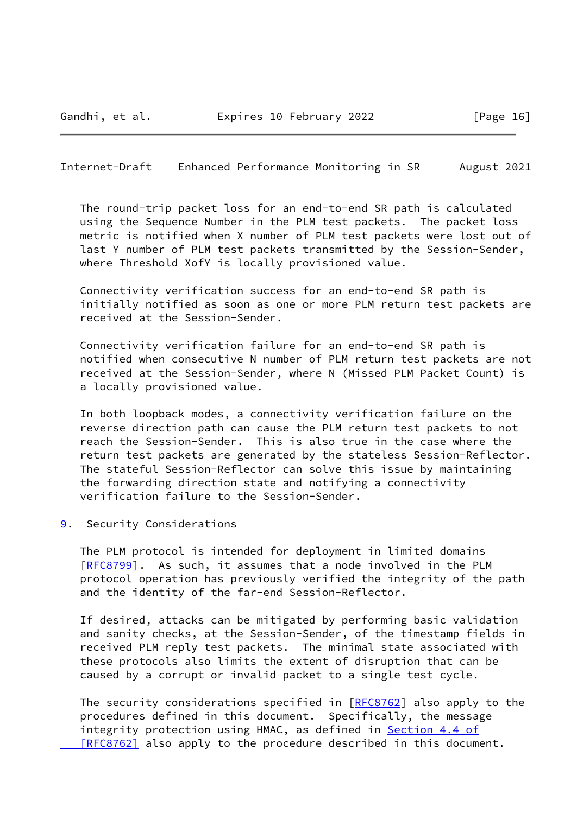<span id="page-18-1"></span>Internet-Draft Enhanced Performance Monitoring in SR August 2021

 The round-trip packet loss for an end-to-end SR path is calculated using the Sequence Number in the PLM test packets. The packet loss metric is notified when X number of PLM test packets were lost out of last Y number of PLM test packets transmitted by the Session-Sender, where Threshold XofY is locally provisioned value.

 Connectivity verification success for an end-to-end SR path is initially notified as soon as one or more PLM return test packets are received at the Session-Sender.

 Connectivity verification failure for an end-to-end SR path is notified when consecutive N number of PLM return test packets are not received at the Session-Sender, where N (Missed PLM Packet Count) is a locally provisioned value.

 In both loopback modes, a connectivity verification failure on the reverse direction path can cause the PLM return test packets to not reach the Session-Sender. This is also true in the case where the return test packets are generated by the stateless Session-Reflector. The stateful Session-Reflector can solve this issue by maintaining the forwarding direction state and notifying a connectivity verification failure to the Session-Sender.

<span id="page-18-0"></span>[9](#page-18-0). Security Considerations

 The PLM protocol is intended for deployment in limited domains [\[RFC8799](https://datatracker.ietf.org/doc/pdf/rfc8799)]. As such, it assumes that a node involved in the PLM protocol operation has previously verified the integrity of the path and the identity of the far-end Session-Reflector.

 If desired, attacks can be mitigated by performing basic validation and sanity checks, at the Session-Sender, of the timestamp fields in received PLM reply test packets. The minimal state associated with these protocols also limits the extent of disruption that can be caused by a corrupt or invalid packet to a single test cycle.

The security considerations specified in  $[RECS762]$  also apply to the procedures defined in this document. Specifically, the message integrity protection using HMAC, as defined in **[Section](https://datatracker.ietf.org/doc/pdf/rfc8762#section-4.4) 4.4 of** [RFC8762] also apply to the procedure described in this document.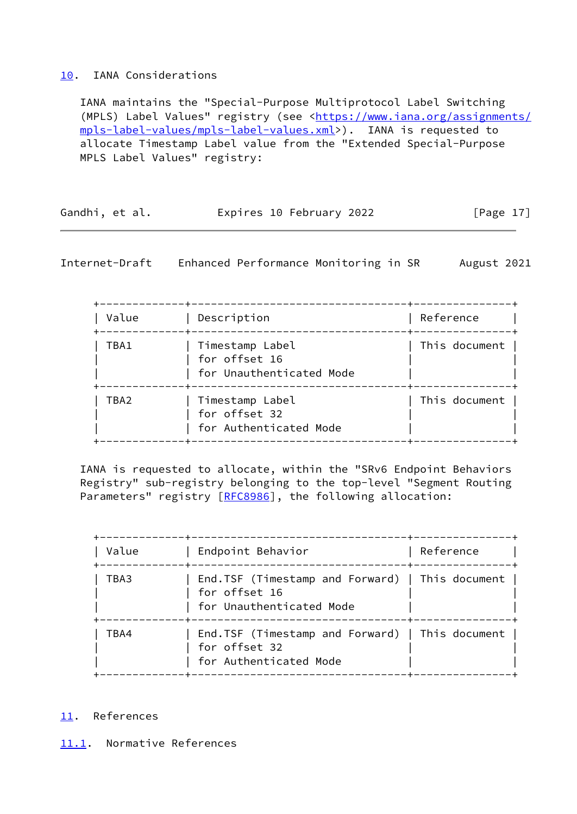# <span id="page-19-0"></span>[10.](#page-19-0) IANA Considerations

 IANA maintains the "Special-Purpose Multiprotocol Label Switching (MPLS) Label Values" registry (see <[https://www.iana.org/assignments/](https://www.iana.org/assignments/mpls-label-values/mpls-label-values.xml) [mpls-label-values/mpls-label-values.xml](https://www.iana.org/assignments/mpls-label-values/mpls-label-values.xml)>). IANA is requested to allocate Timestamp Label value from the "Extended Special-Purpose MPLS Label Values" registry:

| Gandhi, et al. | Expires 10 February 2022 | [Page 17] |
|----------------|--------------------------|-----------|
|                |                          |           |

<span id="page-19-2"></span>Internet-Draft Enhanced Performance Monitoring in SR August 2021

| Value | Description                                                  | Reference                                             |
|-------|--------------------------------------------------------------|-------------------------------------------------------|
| TBA1  | Timestamp Label<br>for offset 16<br>for Unauthenticated Mode | This document                                         |
| TBA2  | Timestamp Label<br>for offset 32<br>for Authenticated Mode   | This document                                         |
|       |                                                              | ------------------------+----<br>-------------------- |

 IANA is requested to allocate, within the "SRv6 Endpoint Behaviors Registry" sub-registry belonging to the top-level "Segment Routing Parameters" registry [\[RFC8986](https://datatracker.ietf.org/doc/pdf/rfc8986)], the following allocation:

| Value | Endpoint Behavior                                                                                                      | Reference |
|-------|------------------------------------------------------------------------------------------------------------------------|-----------|
| TBA3  | End.TSF (Timestamp and Forward)   This document  <br>for offset 16<br>for Unauthenticated Mode<br>____________________ |           |
| TBA4  | End.TSF (Timestamp and Forward)   This document  <br>for offset 32<br>for Authenticated Mode                           |           |

# <span id="page-19-1"></span>[11.](#page-19-1) References

<span id="page-19-3"></span>[11.1](#page-19-3). Normative References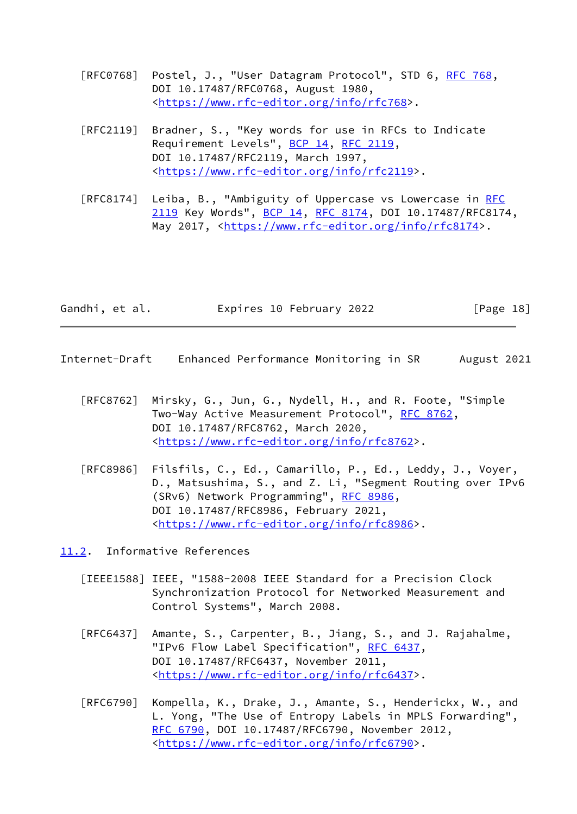- [RFC0768] Postel, J., "User Datagram Protocol", STD 6, [RFC 768](https://datatracker.ietf.org/doc/pdf/rfc768), DOI 10.17487/RFC0768, August 1980, <<https://www.rfc-editor.org/info/rfc768>>.
- [RFC2119] Bradner, S., "Key words for use in RFCs to Indicate Requirement Levels", [BCP 14](https://datatracker.ietf.org/doc/pdf/bcp14), [RFC 2119](https://datatracker.ietf.org/doc/pdf/rfc2119), DOI 10.17487/RFC2119, March 1997, <[https://www.rfc-editor.org/info/rfc2119>](https://www.rfc-editor.org/info/rfc2119).
- [RFC8174] Leiba, B., "Ambiguity of Uppercase vs Lowercase in [RFC](https://datatracker.ietf.org/doc/pdf/rfc2119) [2119](https://datatracker.ietf.org/doc/pdf/rfc2119) Key Words", [BCP 14](https://datatracker.ietf.org/doc/pdf/bcp14), [RFC 8174,](https://datatracker.ietf.org/doc/pdf/rfc8174) DOI 10.17487/RFC8174, May 2017, [<https://www.rfc-editor.org/info/rfc8174](https://www.rfc-editor.org/info/rfc8174)>.

| Gandhi, et al. | Expires 10 February 2022 | [Page 18] |
|----------------|--------------------------|-----------|
|                |                          |           |

- <span id="page-20-1"></span>Internet-Draft Enhanced Performance Monitoring in SR August 2021
	- [RFC8762] Mirsky, G., Jun, G., Nydell, H., and R. Foote, "Simple Two-Way Active Measurement Protocol", [RFC 8762](https://datatracker.ietf.org/doc/pdf/rfc8762), DOI 10.17487/RFC8762, March 2020, <[https://www.rfc-editor.org/info/rfc8762>](https://www.rfc-editor.org/info/rfc8762).
	- [RFC8986] Filsfils, C., Ed., Camarillo, P., Ed., Leddy, J., Voyer, D., Matsushima, S., and Z. Li, "Segment Routing over IPv6 (SRv6) Network Programming", [RFC 8986](https://datatracker.ietf.org/doc/pdf/rfc8986), DOI 10.17487/RFC8986, February 2021, <[https://www.rfc-editor.org/info/rfc8986>](https://www.rfc-editor.org/info/rfc8986).

<span id="page-20-0"></span>[11.2](#page-20-0). Informative References

- <span id="page-20-2"></span> [IEEE1588] IEEE, "1588-2008 IEEE Standard for a Precision Clock Synchronization Protocol for Networked Measurement and Control Systems", March 2008.
- [RFC6437] Amante, S., Carpenter, B., Jiang, S., and J. Rajahalme, "IPv6 Flow Label Specification", [RFC 6437,](https://datatracker.ietf.org/doc/pdf/rfc6437) DOI 10.17487/RFC6437, November 2011, <[https://www.rfc-editor.org/info/rfc6437>](https://www.rfc-editor.org/info/rfc6437).
- [RFC6790] Kompella, K., Drake, J., Amante, S., Henderickx, W., and L. Yong, "The Use of Entropy Labels in MPLS Forwarding", [RFC 6790,](https://datatracker.ietf.org/doc/pdf/rfc6790) DOI 10.17487/RFC6790, November 2012, <[https://www.rfc-editor.org/info/rfc6790>](https://www.rfc-editor.org/info/rfc6790).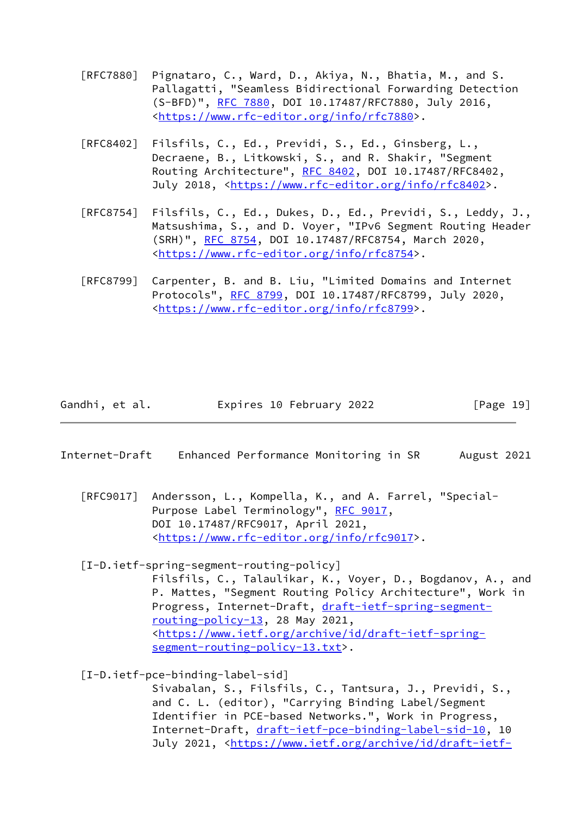- [RFC7880] Pignataro, C., Ward, D., Akiya, N., Bhatia, M., and S. Pallagatti, "Seamless Bidirectional Forwarding Detection (S-BFD)", [RFC 7880](https://datatracker.ietf.org/doc/pdf/rfc7880), DOI 10.17487/RFC7880, July 2016, <[https://www.rfc-editor.org/info/rfc7880>](https://www.rfc-editor.org/info/rfc7880).
- [RFC8402] Filsfils, C., Ed., Previdi, S., Ed., Ginsberg, L., Decraene, B., Litkowski, S., and R. Shakir, "Segment Routing Architecture", [RFC 8402](https://datatracker.ietf.org/doc/pdf/rfc8402), DOI 10.17487/RFC8402, July 2018, <<https://www.rfc-editor.org/info/rfc8402>>.
- [RFC8754] Filsfils, C., Ed., Dukes, D., Ed., Previdi, S., Leddy, J., Matsushima, S., and D. Voyer, "IPv6 Segment Routing Header (SRH)", [RFC 8754,](https://datatracker.ietf.org/doc/pdf/rfc8754) DOI 10.17487/RFC8754, March 2020, <[https://www.rfc-editor.org/info/rfc8754>](https://www.rfc-editor.org/info/rfc8754).
- [RFC8799] Carpenter, B. and B. Liu, "Limited Domains and Internet Protocols", [RFC 8799,](https://datatracker.ietf.org/doc/pdf/rfc8799) DOI 10.17487/RFC8799, July 2020, <[https://www.rfc-editor.org/info/rfc8799>](https://www.rfc-editor.org/info/rfc8799).

| Gandhi, et al. | Expires 10 February 2022 | [Page 19] |
|----------------|--------------------------|-----------|
|----------------|--------------------------|-----------|

- <span id="page-21-0"></span>Internet-Draft Enhanced Performance Monitoring in SR August 2021
	- [RFC9017] Andersson, L., Kompella, K., and A. Farrel, "Special- Purpose Label Terminology", [RFC 9017,](https://datatracker.ietf.org/doc/pdf/rfc9017) DOI 10.17487/RFC9017, April 2021, <[https://www.rfc-editor.org/info/rfc9017>](https://www.rfc-editor.org/info/rfc9017).

<span id="page-21-1"></span> [I-D.ietf-spring-segment-routing-policy] Filsfils, C., Talaulikar, K., Voyer, D., Bogdanov, A., and P. Mattes, "Segment Routing Policy Architecture", Work in Progress, Internet-Draft, [draft-ietf-spring-segment](https://datatracker.ietf.org/doc/pdf/draft-ietf-spring-segment-routing-policy-13) [routing-policy-13,](https://datatracker.ietf.org/doc/pdf/draft-ietf-spring-segment-routing-policy-13) 28 May 2021, <[https://www.ietf.org/archive/id/draft-ietf-spring](https://www.ietf.org/archive/id/draft-ietf-spring-segment-routing-policy-13.txt) [segment-routing-policy-13.txt>](https://www.ietf.org/archive/id/draft-ietf-spring-segment-routing-policy-13.txt).

<span id="page-21-2"></span>[I-D.ietf-pce-binding-label-sid]

 Sivabalan, S., Filsfils, C., Tantsura, J., Previdi, S., and C. L. (editor), "Carrying Binding Label/Segment Identifier in PCE-based Networks.", Work in Progress, Internet-Draft, [draft-ietf-pce-binding-label-sid-10](https://datatracker.ietf.org/doc/pdf/draft-ietf-pce-binding-label-sid-10), 10 July 2021, <[https://www.ietf.org/archive/id/draft-ietf-](https://www.ietf.org/archive/id/draft-ietf-pce-binding-label-sid-10.txt)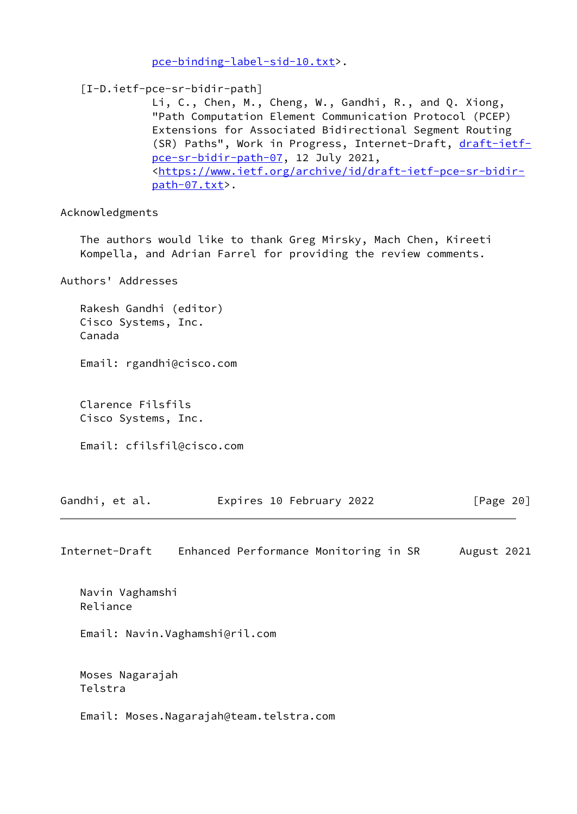[pce-binding-label-sid-10.txt>](https://www.ietf.org/archive/id/draft-ietf-pce-binding-label-sid-10.txt).

<span id="page-22-0"></span>[I-D.ietf-pce-sr-bidir-path]

 Li, C., Chen, M., Cheng, W., Gandhi, R., and Q. Xiong, "Path Computation Element Communication Protocol (PCEP) Extensions for Associated Bidirectional Segment Routing (SR) Paths", Work in Progress, Internet-Draft, [draft-ietf](https://datatracker.ietf.org/doc/pdf/draft-ietf-pce-sr-bidir-path-07) [pce-sr-bidir-path-07,](https://datatracker.ietf.org/doc/pdf/draft-ietf-pce-sr-bidir-path-07) 12 July 2021, <[https://www.ietf.org/archive/id/draft-ietf-pce-sr-bidir](https://www.ietf.org/archive/id/draft-ietf-pce-sr-bidir-path-07.txt) [path-07.txt](https://www.ietf.org/archive/id/draft-ietf-pce-sr-bidir-path-07.txt)>.

Acknowledgments

 The authors would like to thank Greg Mirsky, Mach Chen, Kireeti Kompella, and Adrian Farrel for providing the review comments.

Authors' Addresses

 Rakesh Gandhi (editor) Cisco Systems, Inc. Canada

Email: rgandhi@cisco.com

 Clarence Filsfils Cisco Systems, Inc.

Email: cfilsfil@cisco.com

| Gandhi, et al. | Expires 10 February 2022 | [Page 20] |
|----------------|--------------------------|-----------|
|----------------|--------------------------|-----------|

Internet-Draft Enhanced Performance Monitoring in SR August 2021

 Navin Vaghamshi Reliance

Email: Navin.Vaghamshi@ril.com

 Moses Nagarajah Telstra

Email: Moses.Nagarajah@team.telstra.com